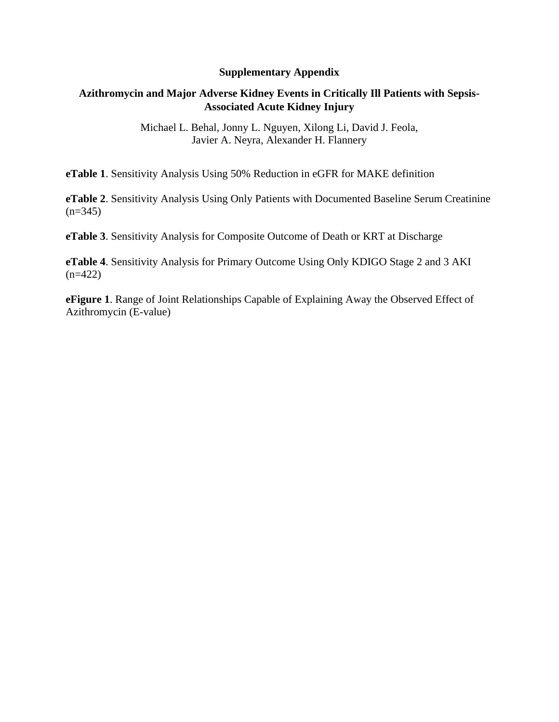## **Supplementary Appendix**

## **Azithromycin and Major Adverse Kidney Events in Critically Ill Patients with Sepsis-Associated Acute Kidney Injury**

Michael L. Behal, Jonny L. Nguyen, Xilong Li, David J. Feola, Javier A. Neyra, Alexander H. Flannery

**eTable 1**. Sensitivity Analysis Using 50% Reduction in eGFR for MAKE definition

**eTable 2**. Sensitivity Analysis Using Only Patients with Documented Baseline Serum Creatinine  $(n=345)$ 

**eTable 3**. Sensitivity Analysis for Composite Outcome of Death or KRT at Discharge

**eTable 4**. Sensitivity Analysis for Primary Outcome Using Only KDIGO Stage 2 and 3 AKI  $(n=422)$ 

**eFigure 1**. Range of Joint Relationships Capable of Explaining Away the Observed Effect of Azithromycin (E-value)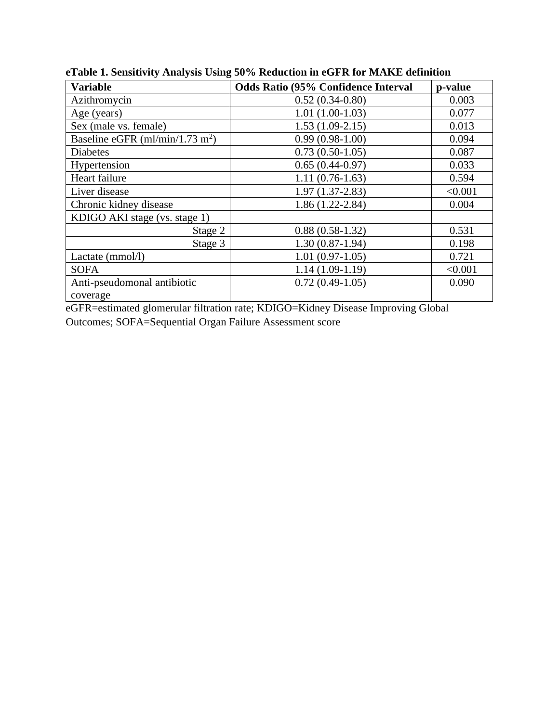| <b>Variable</b>                             | <b>Odds Ratio (95% Confidence Interval</b> | p-value |
|---------------------------------------------|--------------------------------------------|---------|
| Azithromycin                                | $0.52(0.34-0.80)$                          | 0.003   |
| Age (years)                                 | $1.01(1.00-1.03)$                          | 0.077   |
| Sex (male vs. female)                       | $1.53(1.09-2.15)$                          | 0.013   |
| Baseline eGFR (ml/min/1.73 m <sup>2</sup> ) | $0.99(0.98-1.00)$                          | 0.094   |
| <b>Diabetes</b>                             | $0.73(0.50-1.05)$                          | 0.087   |
| Hypertension                                | $0.65(0.44-0.97)$                          | 0.033   |
| Heart failure                               | $1.11(0.76-1.63)$                          | 0.594   |
| Liver disease                               | $1.97(1.37-2.83)$                          | < 0.001 |
| Chronic kidney disease                      | $1.86(1.22 - 2.84)$                        | 0.004   |
| KDIGO AKI stage (vs. stage 1)               |                                            |         |
| Stage 2                                     | $0.88(0.58-1.32)$                          | 0.531   |
| Stage 3                                     | $1.30(0.87-1.94)$                          | 0.198   |
| Lactate (mmol/l)                            | $1.01(0.97-1.05)$                          | 0.721   |
| <b>SOFA</b>                                 | $1.14(1.09-1.19)$                          | < 0.001 |
| Anti-pseudomonal antibiotic                 | $0.72(0.49-1.05)$                          | 0.090   |
| coverage                                    |                                            |         |

**eTable 1. Sensitivity Analysis Using 50% Reduction in eGFR for MAKE definition**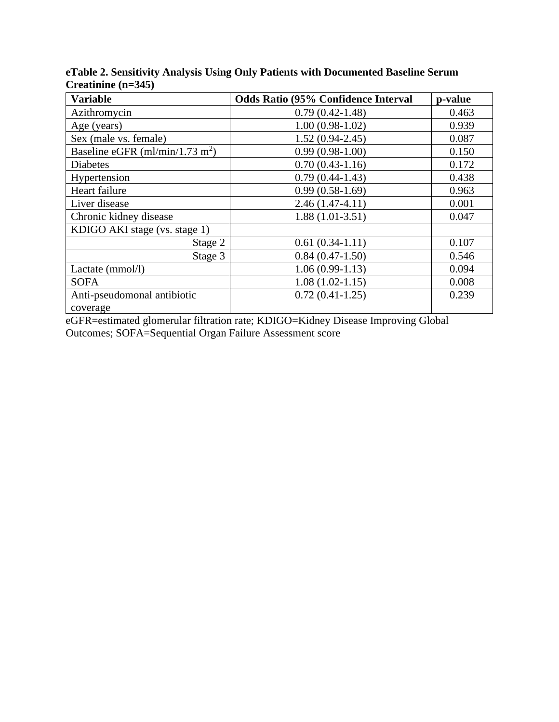| <b>Variable</b>                             | <b>Odds Ratio (95% Confidence Interval</b> | p-value |
|---------------------------------------------|--------------------------------------------|---------|
| Azithromycin                                | $0.79(0.42 - 1.48)$                        | 0.463   |
| Age (years)                                 | $1.00(0.98-1.02)$                          | 0.939   |
| Sex (male vs. female)                       | $1.52(0.94-2.45)$                          | 0.087   |
| Baseline eGFR (ml/min/1.73 m <sup>2</sup> ) | $0.99(0.98-1.00)$                          | 0.150   |
| Diabetes                                    | $0.70(0.43-1.16)$                          | 0.172   |
| Hypertension                                | $0.79(0.44-1.43)$                          | 0.438   |
| Heart failure                               | $0.99(0.58-1.69)$                          | 0.963   |
| Liver disease                               | $2.46(1.47-4.11)$                          | 0.001   |
| Chronic kidney disease                      | $1.88(1.01-3.51)$                          | 0.047   |
| KDIGO AKI stage (vs. stage 1)               |                                            |         |
| Stage 2                                     | $0.61(0.34-1.11)$                          | 0.107   |
| Stage 3                                     | $0.84(0.47-1.50)$                          | 0.546   |
| Lactate (mmol/l)                            | $1.06(0.99-1.13)$                          | 0.094   |
| <b>SOFA</b>                                 | $1.08(1.02-1.15)$                          | 0.008   |
| Anti-pseudomonal antibiotic                 | $0.72(0.41-1.25)$                          | 0.239   |
| coverage                                    |                                            |         |

**eTable 2. Sensitivity Analysis Using Only Patients with Documented Baseline Serum Creatinine (n=345)**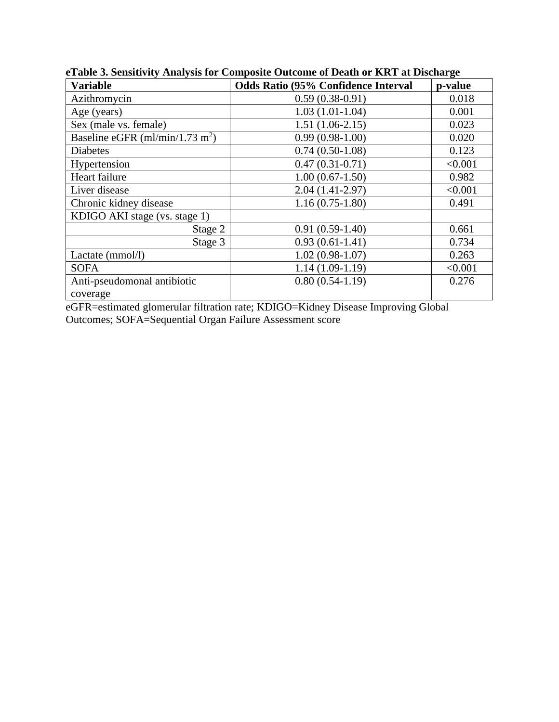| <b>Variable</b>                             | <b>Odds Ratio (95% Confidence Interval</b> | p-value |
|---------------------------------------------|--------------------------------------------|---------|
| Azithromycin                                | $0.59(0.38-0.91)$                          | 0.018   |
| Age (years)                                 | $1.03(1.01-1.04)$                          | 0.001   |
| Sex (male vs. female)                       | $1.51(1.06-2.15)$                          | 0.023   |
| Baseline eGFR (ml/min/1.73 m <sup>2</sup> ) | $0.99(0.98-1.00)$                          | 0.020   |
| <b>Diabetes</b>                             | $0.74(0.50-1.08)$                          | 0.123   |
| Hypertension                                | $0.47(0.31-0.71)$                          | < 0.001 |
| Heart failure                               | $1.00(0.67-1.50)$                          | 0.982   |
| Liver disease                               | $2.04(1.41-2.97)$                          | < 0.001 |
| Chronic kidney disease                      | $1.16(0.75-1.80)$                          | 0.491   |
| KDIGO AKI stage (vs. stage 1)               |                                            |         |
| Stage 2                                     | $0.91(0.59-1.40)$                          | 0.661   |
| Stage 3                                     | $0.93(0.61-1.41)$                          | 0.734   |
| Lactate (mmol/l)                            | $1.02(0.98-1.07)$                          | 0.263   |
| <b>SOFA</b>                                 | $1.14(1.09-1.19)$                          | < 0.001 |
| Anti-pseudomonal antibiotic                 | $0.80(0.54-1.19)$                          | 0.276   |
| coverage                                    |                                            |         |

**eTable 3. Sensitivity Analysis for Composite Outcome of Death or KRT at Discharge**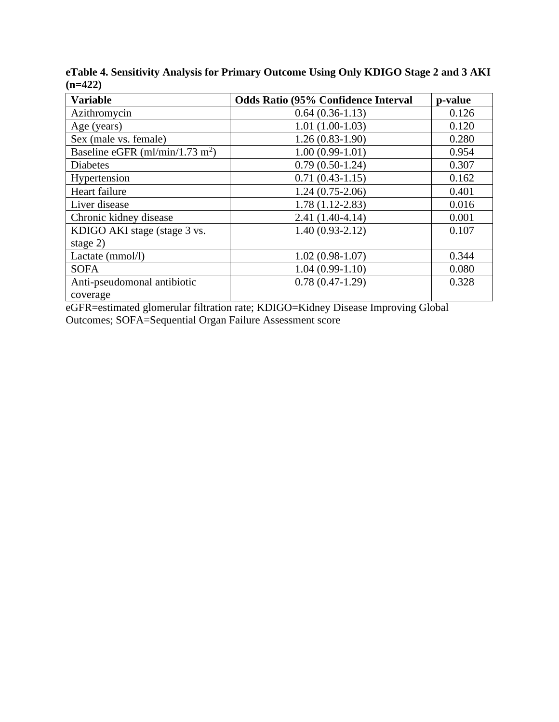| <b>Variable</b>                             | <b>Odds Ratio (95% Confidence Interval</b> | p-value |
|---------------------------------------------|--------------------------------------------|---------|
| Azithromycin                                | $0.64(0.36-1.13)$                          | 0.126   |
| Age (years)                                 | $1.01(1.00-1.03)$                          | 0.120   |
| Sex (male vs. female)                       | $1.26(0.83-1.90)$                          | 0.280   |
| Baseline eGFR (ml/min/1.73 m <sup>2</sup> ) | $1.00(0.99-1.01)$                          | 0.954   |
| <b>Diabetes</b>                             | $0.79(0.50-1.24)$                          | 0.307   |
| Hypertension                                | $0.71(0.43-1.15)$                          | 0.162   |
| Heart failure                               | $1.24(0.75-2.06)$                          | 0.401   |
| Liver disease                               | $1.78(1.12 - 2.83)$                        | 0.016   |
| Chronic kidney disease                      | $2.41(1.40-4.14)$                          | 0.001   |
| KDIGO AKI stage (stage 3 vs.                | $1.40(0.93-2.12)$                          | 0.107   |
| stage $2)$                                  |                                            |         |
| Lactate (mmol/l)                            | $1.02(0.98-1.07)$                          | 0.344   |
| <b>SOFA</b>                                 | $1.04(0.99-1.10)$                          | 0.080   |
| Anti-pseudomonal antibiotic                 | $0.78(0.47-1.29)$                          | 0.328   |
| coverage                                    |                                            |         |

**eTable 4. Sensitivity Analysis for Primary Outcome Using Only KDIGO Stage 2 and 3 AKI (n=422)**